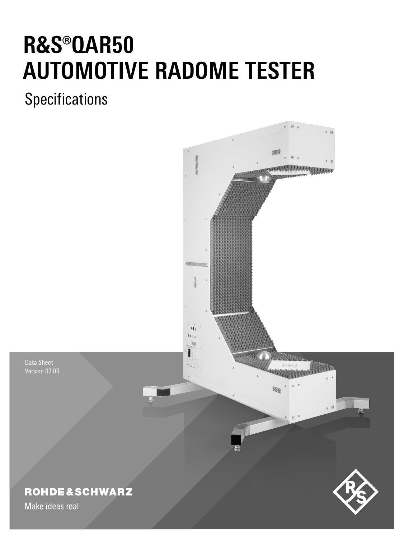# **R&S®QAR50 AUTOMOTIVE RADOME TESTER**

**Specifications** 



Data Sheet Version 03.00

### **ROHDE&SCHWARZ**

Make ideas real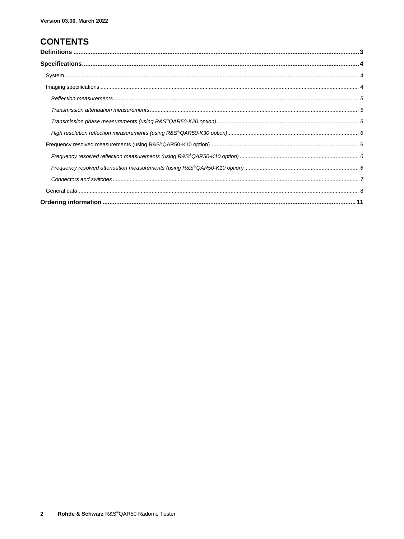### **CONTENTS**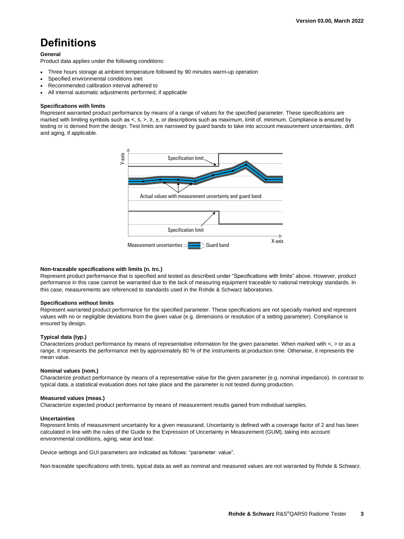### <span id="page-2-0"></span>**Definitions**

#### **General**

Product data applies under the following conditions:

- Three hours storage at ambient temperature followed by 90 minutes warm-up operation
- Specified environmental conditions met
- Recommended calibration interval adhered to
- All internal automatic adjustments performed, if applicable

#### **Specifications with limits**

Represent warranted product performance by means of a range of values for the specified parameter. These specifications are marked with limiting symbols such as <, ≤, >, ≥, ±, or descriptions such as maximum, limit of, minimum. Compliance is ensured by testing or is derived from the design. Test limits are narrowed by guard bands to take into account measurement uncertainties, drift and aging, if applicable.



#### **Non-traceable specifications with limits (n. trc.)**

Represent product performance that is specified and tested as described under "Specifications with limits" above. However, product performance in this case cannot be warranted due to the lack of measuring equipment traceable to national metrology standards. In this case, measurements are referenced to standards used in the Rohde & Schwarz laboratories.

#### **Specifications without limits**

Represent warranted product performance for the specified parameter. These specifications are not specially marked and represent values with no or negligible deviations from the given value (e.g. dimensions or resolution of a setting parameter). Compliance is ensured by design.

#### **Typical data (typ.)**

Characterizes product performance by means of representative information for the given parameter. When marked with <, > or as a range, it represents the performance met by approximately 80 % of the instruments at production time. Otherwise, it represents the mean value.

#### **Nominal values (nom.)**

Characterize product performance by means of a representative value for the given parameter (e.g. nominal impedance). In contrast to typical data, a statistical evaluation does not take place and the parameter is not tested during production.

#### **Measured values (meas.)**

Characterize expected product performance by means of measurement results gained from individual samples.

#### **Uncertainties**

Represent limits of measurement uncertainty for a given measurand. Uncertainty is defined with a coverage factor of 2 and has been calculated in line with the rules of the Guide to the Expression of Uncertainty in Measurement (GUM), taking into account environmental conditions, aging, wear and tear.

Device settings and GUI parameters are indicated as follows: "parameter: value".

Non-traceable specifications with limits, typical data as well as nominal and measured values are not warranted by Rohde & Schwarz.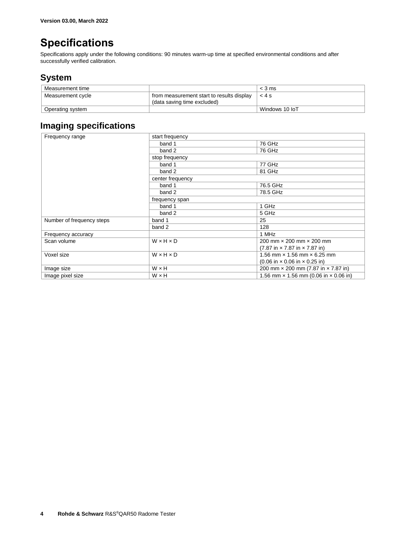### <span id="page-3-0"></span>**Specifications**

Specifications apply under the following conditions: 90 minutes warm-up time at specified environmental conditions and after successfully verified calibration.

### <span id="page-3-1"></span>**System**

| Measurement time  |                                           | $<$ 3 ms       |
|-------------------|-------------------------------------------|----------------|
| Measurement cycle | from measurement start to results display | < 4s           |
|                   | (data saving time excluded)               |                |
| Operating system  |                                           | Windows 10 IoT |

### <span id="page-3-2"></span>**Imaging specifications**

| Frequency range           | start frequency       |                                                                   |  |
|---------------------------|-----------------------|-------------------------------------------------------------------|--|
|                           | band 1                | 76 GHz                                                            |  |
|                           | band 2                | 76 GHz                                                            |  |
|                           | stop frequency        |                                                                   |  |
|                           | band 1                | 77 GHz                                                            |  |
|                           | band 2                | 81 GHz                                                            |  |
|                           | center frequency      |                                                                   |  |
|                           | band 1                | 76.5 GHz                                                          |  |
|                           | band 2                | 78.5 GHz                                                          |  |
|                           | frequency span        |                                                                   |  |
|                           | band 1                | 1 GHz                                                             |  |
|                           | band 2                | 5 GHz                                                             |  |
| Number of frequency steps | band 1                | 25                                                                |  |
|                           | band 2                | 128                                                               |  |
| Frequency accuracy        |                       | 1 MHz                                                             |  |
| Scan volume               | $W \times H \times D$ | 200 mm x 200 mm x 200 mm                                          |  |
|                           |                       | $(7.87 \text{ in} \times 7.87 \text{ in} \times 7.87 \text{ in})$ |  |
| Voxel size                | $W \times H \times D$ | 1.56 mm $\times$ 1.56 mm $\times$ 6.25 mm                         |  |
|                           |                       | $(0.06 \text{ in} \times 0.06 \text{ in} \times 0.25 \text{ in})$ |  |
| Image size                | WxH                   | 200 mm × 200 mm (7.87 in × 7.87 in)                               |  |
| Image pixel size          | W x H                 | 1.56 mm $\times$ 1.56 mm (0.06 in $\times$ 0.06 in)               |  |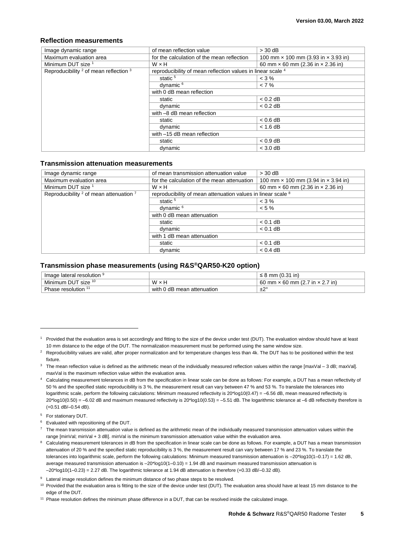#### <span id="page-4-0"></span>**Reflection measurements**

<span id="page-4-6"></span><span id="page-4-5"></span><span id="page-4-4"></span><span id="page-4-3"></span>

| Image dynamic range                                          | of mean reflection value                                    | $>$ 30 dB                                         |
|--------------------------------------------------------------|-------------------------------------------------------------|---------------------------------------------------|
| Maximum evaluation area                                      | for the calculation of the mean reflection                  | 100 mm $\times$ 100 mm (3.93 in $\times$ 3.93 in) |
| Minimum DUT size <sup>1</sup>                                | W x H                                                       | 60 mm $\times$ 60 mm (2.36 in $\times$ 2.36 in)   |
| Reproducibility <sup>2</sup> of mean reflection <sup>3</sup> | reproducibility of mean reflection values in linear scale 4 |                                                   |
|                                                              | static <sup>5</sup>                                         | $<$ 3 %                                           |
|                                                              | dynamic <sup>6</sup>                                        | $< 7\%$                                           |
|                                                              | with 0 dB mean reflection                                   |                                                   |
|                                                              | static                                                      | $< 0.2$ dB                                        |
|                                                              | dynamic                                                     | $< 0.2$ dB                                        |
|                                                              | with -8 dB mean reflection                                  |                                                   |
|                                                              | static                                                      | $< 0.6$ dB                                        |
|                                                              | dynamic                                                     | $< 1.6$ dB                                        |
|                                                              | with $-15$ dB mean reflection                               |                                                   |
|                                                              | static                                                      | $< 0.9$ dB                                        |
|                                                              | dynamic                                                     | $<$ 3.0 dB                                        |

#### <span id="page-4-1"></span>**Transmission attenuation measurements**

| Image dynamic range                         | of mean transmission attenuation value                       | $>$ 30 dB                                         |
|---------------------------------------------|--------------------------------------------------------------|---------------------------------------------------|
| Maximum evaluation area                     | for the calculation of the mean attenuation                  | 100 mm $\times$ 100 mm (3.94 in $\times$ 3.94 in) |
| Minimum DUT size 1                          | W x H                                                        | 60 mm $\times$ 60 mm (2.36 in $\times$ 2.36 in)   |
| Reproducibility $2$ of mean attenuation $7$ | reproducibility of mean attenuation values in linear scale 8 |                                                   |
|                                             | static <sup>5</sup>                                          | $<$ 3 %                                           |
|                                             | dynamic <sup>6</sup>                                         | $< 5 \%$                                          |
|                                             | with 0 dB mean attenuation                                   |                                                   |
|                                             | static                                                       | $< 0.1$ dB                                        |
|                                             | dynamic                                                      | $< 0.1$ dB                                        |
|                                             | with 1 dB mean attenuation                                   |                                                   |
|                                             | static                                                       | $< 0.1$ dB                                        |
|                                             | dynamic                                                      | $< 0.4$ dB                                        |

#### <span id="page-4-2"></span>**Transmission phase measurements (using R&S®QAR50-K20 option)**

| lmage lateral resolution       |                            | mm (0.31 in)<br>-                             |
|--------------------------------|----------------------------|-----------------------------------------------|
| Minimum DUT size <sup>10</sup> | W<br>×⊬                    | 60 mm $\times$ 60 mm (2.7 in $\times$ 2.7 in) |
| Phase resolution <sup>11</sup> | with 0 dB mean attenuation | ±2°                                           |

l

<sup>1</sup> Provided that the evaluation area is set accordingly and fitting to the size of the device under test (DUT). The evaluation window should have at least 10 mm distance to the edge of the DUT. The normalization measurement must be performed using the same window size.

<sup>&</sup>lt;sup>2</sup> Reproducibility values are valid, after proper normalization and for temperature changes less than 4k. The DUT has to be positioned within the test fixture.

 $3$  The mean reflection value is defined as the arithmetic mean of the individually measured reflection values within the range [maxVal – 3 dB; maxVal]. maxVal is the maximum reflection value within the evaluation area.

<sup>4</sup> Calculating measurement tolerances in dB from the specification in linear scale can be done as follows: For example, a DUT has a mean reflectivity of 50 % and the specified static reproducibility is 3 %, the measurement result can vary between 47 % and 53 %. To translate the tolerances into logarithmic scale, perform the following calculations: Minimum measured reflectivity is 20\*log10(0.47) = -6.56 dB, mean measured reflectivity is  $20*$ log10(0.50) = -6.02 dB and maximum measured reflectivity is  $20*$ log10(0.53) = -5.51 dB. The logarithmic tolerance at -6 dB reflectivity therefore is (+0.51 dB/–0.54 dB).

<sup>5</sup> For stationary DUT.

<sup>6</sup> Evaluated with repositioning of the DUT.

 $7$  The mean transmission attenuation value is defined as the arithmetic mean of the individually measured transmission attenuation values within the range [minVal; minVal + 3 dB]. minVal is the minimum transmission attenuation value within the evaluation area.

<sup>&</sup>lt;sup>8</sup> Calculating measurement tolerances in dB from the specification in linear scale can be done as follows. For example, a DUT has a mean transmission attenuation of 20 % and the specified static reproducibility is 3 %, the measurement result can vary between 17 % and 23 %. To translate the tolerances into logarithmic scale, perform the following calculations: Minimum measured transmission attenuation is -20\*log10(1-0.17) = 1.62 dB, average measured transmission attenuation is –20\*log10(1–0.10) = 1.94 dB and maximum measured transmission attenuation is –20\*log10(1–0.23) = 2.27 dB. The logarithmic tolerance at 1.94 dB attenuation is therefore (+0.33 dB/–0.32 dB).

<sup>&</sup>lt;sup>9</sup> Lateral image resolution defines the minimum distance of two phase steps to be resolved.

<sup>&</sup>lt;sup>10</sup> Provided that the evaluation area is fitting to the size of the device under test (DUT). The evaluation area should have at least 15 mm distance to the edge of the DUT.

<sup>&</sup>lt;sup>11</sup> Phase resolution defines the minimum phase difference in a DUT, that can be resolved inside the calculated image.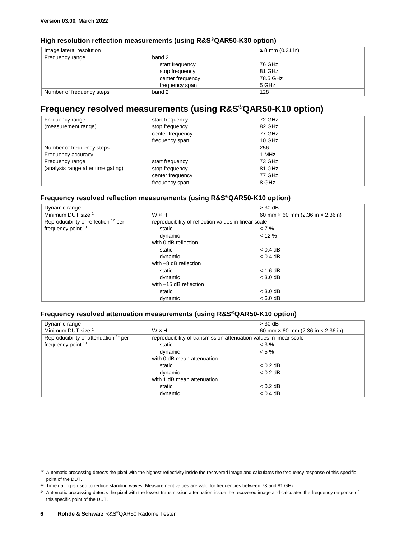### <span id="page-5-0"></span>**High resolution reflection measurements (using R&S®QAR50-K30 option)**

| Image lateral resolution  |                  | ≤ 8 mm $(0.31$ in) |
|---------------------------|------------------|--------------------|
| Frequency range           | band 2           |                    |
|                           | start frequency  | 76 GHz             |
|                           | stop frequency   | 81 GHz             |
|                           | center frequency | 78.5 GHz           |
|                           | frequency span   | 5 GHz              |
| Number of frequency steps | band 2           | 128                |

### <span id="page-5-1"></span>**Frequency resolved measurements (using R&S®QAR50-K10 option)**

| Frequency range                    | start frequency  | 72 GHz   |
|------------------------------------|------------------|----------|
| (measurement range)                | stop frequency   | 82 GHz   |
|                                    | center frequency | 77 GHz   |
|                                    | frequency span   | $10$ GHz |
| Number of frequency steps          |                  | 256      |
| Frequency accuracy                 |                  | 1 MHz    |
| Frequency range                    | start frequency  | 73 GHz   |
| (analysis range after time gating) | stop frequency   | 81 GHz   |
|                                    | center frequency | 77 GHz   |
|                                    | frequency span   | 8 GHz    |

#### <span id="page-5-2"></span>**Frequency resolved reflection measurements (using R&S®QAR50-K10 option)**

<span id="page-5-4"></span>

| Dynamic range                                   |                                                      | $>$ 30 dB                                      |
|-------------------------------------------------|------------------------------------------------------|------------------------------------------------|
| Minimum DUT size <sup>1</sup>                   | $W \times H$                                         | 60 mm $\times$ 60 mm (2.36 in $\times$ 2.36in) |
| Reproducibility of reflection <sup>12</sup> per | reproducibility of reflection values in linear scale |                                                |
| frequency point 13                              | static                                               | $< 7\%$                                        |
|                                                 | dynamic                                              | $< 12 \%$                                      |
|                                                 | with 0 dB reflection                                 |                                                |
|                                                 | static                                               | $< 0.4$ dB                                     |
|                                                 | dynamic                                              | $< 0.4$ dB                                     |
|                                                 | with -8 dB reflection                                |                                                |
|                                                 | static                                               | $< 1.6$ dB                                     |
|                                                 | dynamic                                              | $<$ 3.0 dB                                     |
|                                                 | with -15 dB reflection                               |                                                |
|                                                 | static                                               | $<$ 3.0 dB                                     |
|                                                 | dynamic                                              | $< 6.0$ dB                                     |

#### <span id="page-5-3"></span>**Frequency resolved attenuation measurements (using R&S®QAR50-K10 option)**

| Dynamic range                                    |                                                                    | $>$ 30 dB                                       |
|--------------------------------------------------|--------------------------------------------------------------------|-------------------------------------------------|
| Minimum DUT size <sup>1</sup>                    | $W \times H$                                                       | 60 mm $\times$ 60 mm (2.36 in $\times$ 2.36 in) |
| Reproducibility of attenuation <sup>14</sup> per | reproducibility of transmission attenuation values in linear scale |                                                 |
| frequency point 13                               | static                                                             | $<$ 3 %                                         |
|                                                  | dynamic                                                            | $< 5 \%$                                        |
|                                                  | with 0 dB mean attenuation                                         |                                                 |
|                                                  | static                                                             | $< 0.2$ dB                                      |
|                                                  | dynamic                                                            | $< 0.2$ dB                                      |
|                                                  | with 1 dB mean attenuation                                         |                                                 |
|                                                  | static                                                             | $< 0.2$ dB                                      |
|                                                  | dynamic                                                            | $< 0.4$ dB                                      |

l

<sup>&</sup>lt;sup>12</sup> Automatic processing detects the pixel with the highest reflectivity inside the recovered image and calculates the frequency response of this specific point of the DUT.

<sup>13</sup> Time gating is used to reduce standing waves. Measurement values are valid for frequencies between 73 and 81 GHz.

<sup>&</sup>lt;sup>14</sup> Automatic processing detects the pixel with the lowest transmission attenuation inside the recovered image and calculates the frequency response of this specific point of the DUT.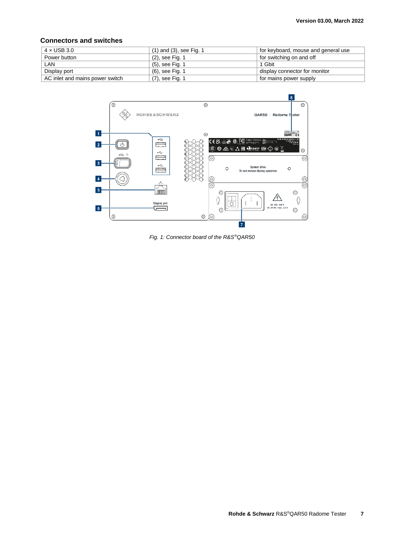#### <span id="page-6-0"></span>**Connectors and switches**

| $4 \times$ USB 3.0              | $(1)$ and $(3)$ , see Fig. 1 | for keyboard, mouse and general use |
|---------------------------------|------------------------------|-------------------------------------|
| Power button                    | (2), see Fig. 1              | for switching on and off            |
| LAN                             | (5), see Fig. 1              | 1 Gbit                              |
| Display port                    | (6), see Fig. 1              | display connector for monitor       |
| AC inlet and mains power switch | (7), see Fig. 1              | for mains power supply              |



<span id="page-6-1"></span>*Fig. 1: Connector board of the R&S®QAR50*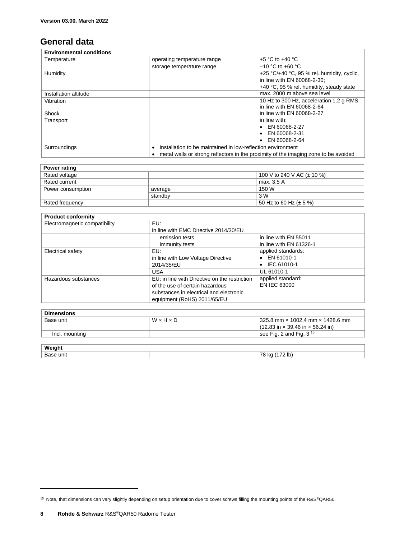### <span id="page-7-0"></span>**General data**

| <b>Environmental conditions</b>                                             |                             |                                                                                     |  |  |
|-----------------------------------------------------------------------------|-----------------------------|-------------------------------------------------------------------------------------|--|--|
| Temperature                                                                 | operating temperature range | $+5$ °C to $+40$ °C                                                                 |  |  |
|                                                                             | storage temperature range   | $-10$ °C to +60 °C                                                                  |  |  |
| Humidity                                                                    |                             | +25 $\degree$ C/+40 $\degree$ C, 95 % rel. humidity, cyclic,                        |  |  |
|                                                                             |                             | in line with EN 60068-2-30:                                                         |  |  |
|                                                                             |                             | +40 °C, 95 % rel. humidity, steady state                                            |  |  |
| Installation altitude                                                       |                             | max. 2000 m above sea level                                                         |  |  |
| Vibration                                                                   |                             | 10 Hz to 300 Hz, acceleration 1.2 g RMS,                                            |  |  |
|                                                                             |                             | in line with EN 60068-2-64                                                          |  |  |
| Shock                                                                       |                             | in line with EN 60068-2-27                                                          |  |  |
| Transport                                                                   |                             | in line with:                                                                       |  |  |
|                                                                             |                             | $\bullet$ EN 60068-2-27                                                             |  |  |
|                                                                             |                             | EN 60068-2-31                                                                       |  |  |
|                                                                             |                             | EN 60068-2-64                                                                       |  |  |
| installation to be maintained in low-reflection environment<br>Surroundings |                             |                                                                                     |  |  |
|                                                                             |                             | metal walls or strong reflectors in the proximity of the imaging zone to be avoided |  |  |

| Power rating      |         |                                 |  |
|-------------------|---------|---------------------------------|--|
| Rated voltage     |         | 100 V to 240 V AC ( $\pm$ 10 %) |  |
| Rated current     |         | max. 3.5 A                      |  |
| Power consumption | average | 150 W                           |  |
|                   | standby | 3 W                             |  |
| Rated frequency   |         | 50 Hz to 60 Hz ( $\pm$ 5 %)     |  |

| <b>Product conformity</b>     |                                               |                         |  |
|-------------------------------|-----------------------------------------------|-------------------------|--|
| Electromagnetic compatibility | EU:                                           |                         |  |
|                               | in line with EMC Directive 2014/30/EU         |                         |  |
|                               | emission tests                                | in line with EN 55011   |  |
|                               | immunity tests                                | in line with EN 61326-1 |  |
| Electrical safety             | EU:                                           | applied standards:      |  |
|                               | in line with Low Voltage Directive            | $\bullet$ EN 61010-1    |  |
|                               | 2014/35/EU                                    | $\bullet$ IEC 61010-1   |  |
|                               | <b>USA</b>                                    | UL 61010-1              |  |
| Hazardous substances          | EU: in line with Directive on the restriction | applied standard:       |  |
|                               | of the use of certain hazardous               | EN IEC 63000            |  |
|                               | substances in electrical and electronic       |                         |  |
|                               | equipment (RoHS) 2011/65/EU                   |                         |  |

| <b>Dimensions</b> |       |                                                                      |  |
|-------------------|-------|----------------------------------------------------------------------|--|
| Base unit         | WxHxD | 325.8 mm $\times$ 1002.4 mm $\times$ 1428.6 mm                       |  |
|                   |       | $(12.83 \text{ in} \times 39.46 \text{ in} \times 56.24 \text{ in})$ |  |
| Incl. mounting    |       | see Fig. 2 and Fig. $3^{15}$                                         |  |

| Weiaht    |                                                                    |
|-----------|--------------------------------------------------------------------|
| Base unit | 70<br>lb<br>$\overline{\phantom{a}}$<br>в.<br>$\ddot{\phantom{a}}$ |

 $\overline{a}$ 

<sup>&</sup>lt;sup>15</sup> Note, that dimensions can vary slightly depending on setup orientation due to cover screws filling the mounting points of the R&S®QAR50.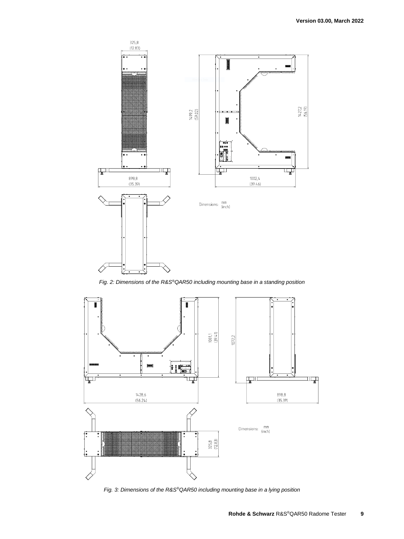

*Fig. 2: Dimensions of the R&S®QAR50 including mounting base in a standing position*

<span id="page-8-0"></span>

<span id="page-8-1"></span>*Fig. 3: Dimensions of the R&S®QAR50 including mounting base in a lying position*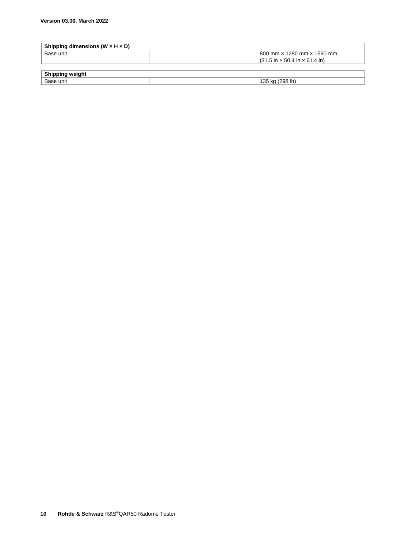| Shipping dimensions (W $\times$ H $\times$ D) |                                                                   |  |  |
|-----------------------------------------------|-------------------------------------------------------------------|--|--|
| Base unit                                     | 800 mm $\times$ 1280 mm $\times$ 1560 mm                          |  |  |
|                                               | $(31.5 \text{ in} \times 50.4 \text{ in} \times 61.4 \text{ in})$ |  |  |
|                                               |                                                                   |  |  |
| <b>Shipping weight</b>                        |                                                                   |  |  |
| Base unit                                     | 135 kg (298 lb)                                                   |  |  |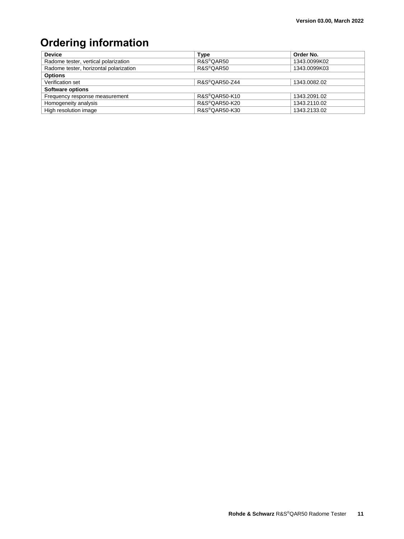## <span id="page-10-0"></span>**Ordering information**

| <b>Device</b>                          | Type                       | Order No.    |  |
|----------------------------------------|----------------------------|--------------|--|
| Radome tester, vertical polarization   | R&S®QAR50                  | 1343.0099K02 |  |
| Radome tester, horizontal polarization | R&S <sup>®</sup> QAR50     | 1343.0099K03 |  |
| <b>Options</b>                         |                            |              |  |
| Verification set                       | R&S®QAR50-Z44              | 1343.0082.02 |  |
| <b>Software options</b>                |                            |              |  |
| Frequency response measurement         | R&S®QAR50-K10              | 1343.2091.02 |  |
| Homogeneity analysis                   | R&S <sup>®</sup> QAR50-K20 | 1343.2110.02 |  |
| High resolution image                  | R&S®QAR50-K30              | 1343.2133.02 |  |